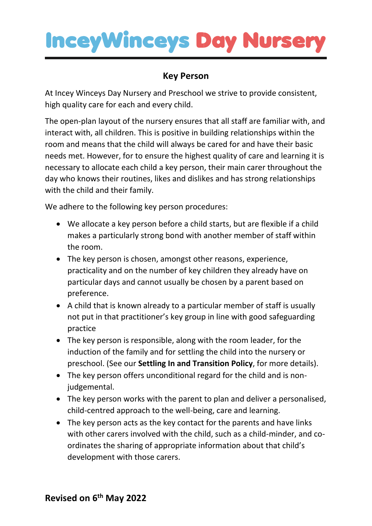## **InceyWinceys Day Nursery**

## **Key Person**

At Incey Winceys Day Nursery and Preschool we strive to provide consistent, high quality care for each and every child.

The open-plan layout of the nursery ensures that all staff are familiar with, and interact with, all children. This is positive in building relationships within the room and means that the child will always be cared for and have their basic needs met. However, for to ensure the highest quality of care and learning it is necessary to allocate each child a key person, their main carer throughout the day who knows their routines, likes and dislikes and has strong relationships with the child and their family.

We adhere to the following key person procedures:

- We allocate a key person before a child starts, but are flexible if a child makes a particularly strong bond with another member of staff within the room.
- The key person is chosen, amongst other reasons, experience, practicality and on the number of key children they already have on particular days and cannot usually be chosen by a parent based on preference.
- A child that is known already to a particular member of staff is usually not put in that practitioner's key group in line with good safeguarding practice
- The key person is responsible, along with the room leader, for the induction of the family and for settling the child into the nursery or preschool. (See our **Settling In and Transition Policy**, for more details).
- The key person offers unconditional regard for the child and is nonjudgemental.
- The key person works with the parent to plan and deliver a personalised, child-centred approach to the well-being, care and learning.
- The key person acts as the key contact for the parents and have links with other carers involved with the child, such as a child-minder, and coordinates the sharing of appropriate information about that child's development with those carers.